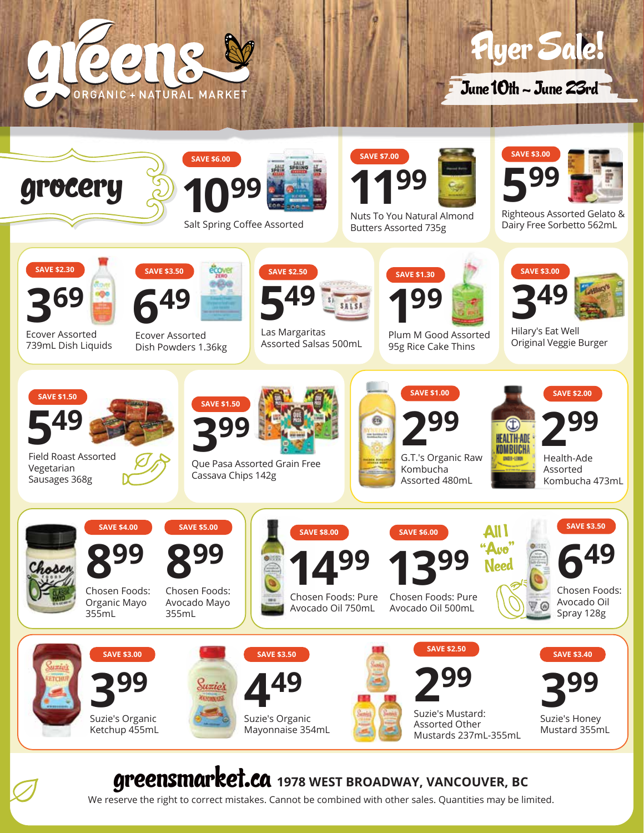



June 10th - June 23rd



## greensmarket.ca **1978 WEST BROADWAY, VANCOUVER, BC**

We reserve the right to correct mistakes. Cannot be combined with other sales. Quantities may be limited.